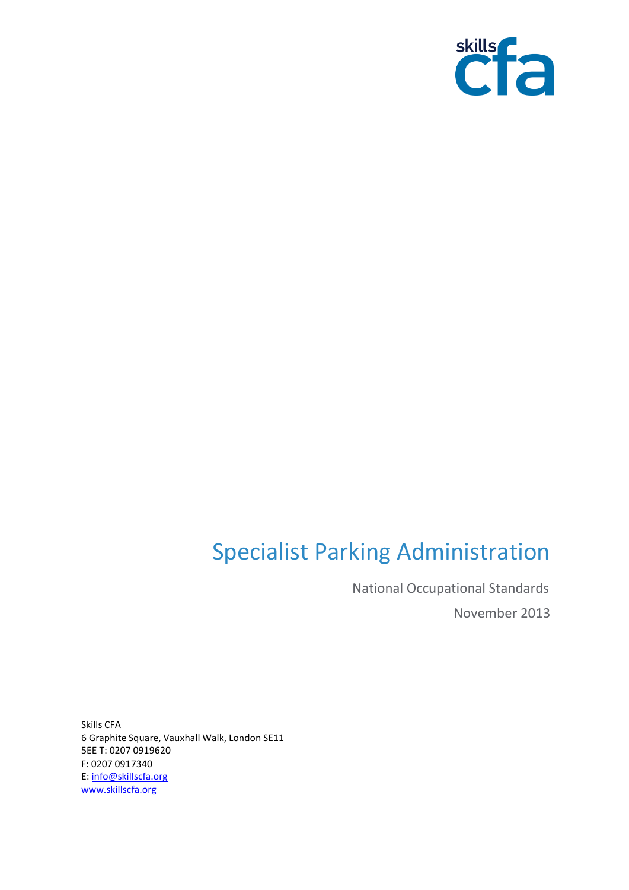

# Specialist Parking Administration

National Occupational Standards November 2013

Skills CFA 6 Graphite Square, Vauxhall Walk, London SE11 5EE T: 0207 0919620 F: 0207 0917340 E[: info@skillscfa.org](mailto:info@skillscfa.org)  [www.skillscfa.org](http://www.skillscfa.org/)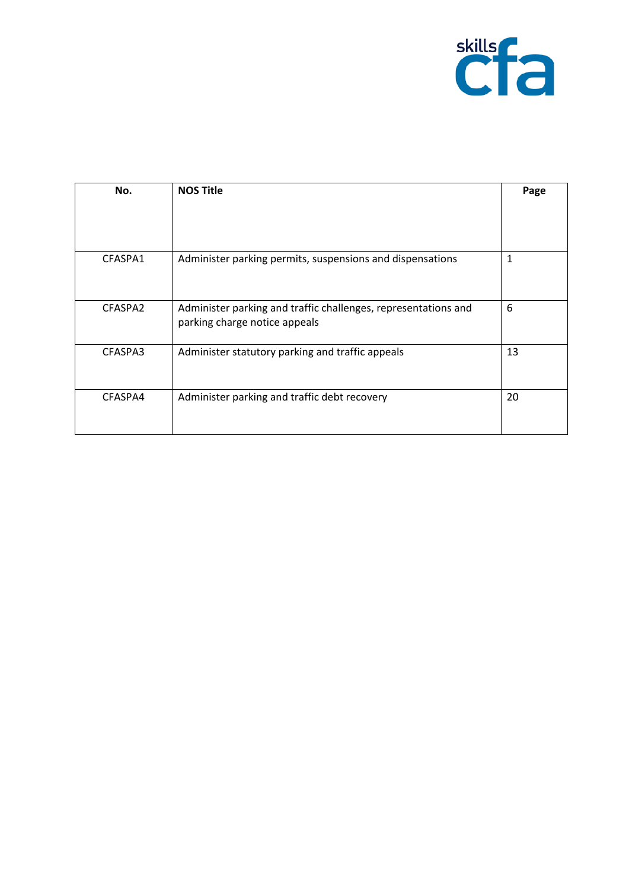

| No.     | <b>NOS Title</b>                                                                                | Page |
|---------|-------------------------------------------------------------------------------------------------|------|
|         |                                                                                                 |      |
| CFASPA1 | Administer parking permits, suspensions and dispensations                                       | 1    |
| CFASPA2 | Administer parking and traffic challenges, representations and<br>parking charge notice appeals | 6    |
| CFASPA3 | Administer statutory parking and traffic appeals                                                | 13   |
| CFASPA4 | Administer parking and traffic debt recovery                                                    | 20   |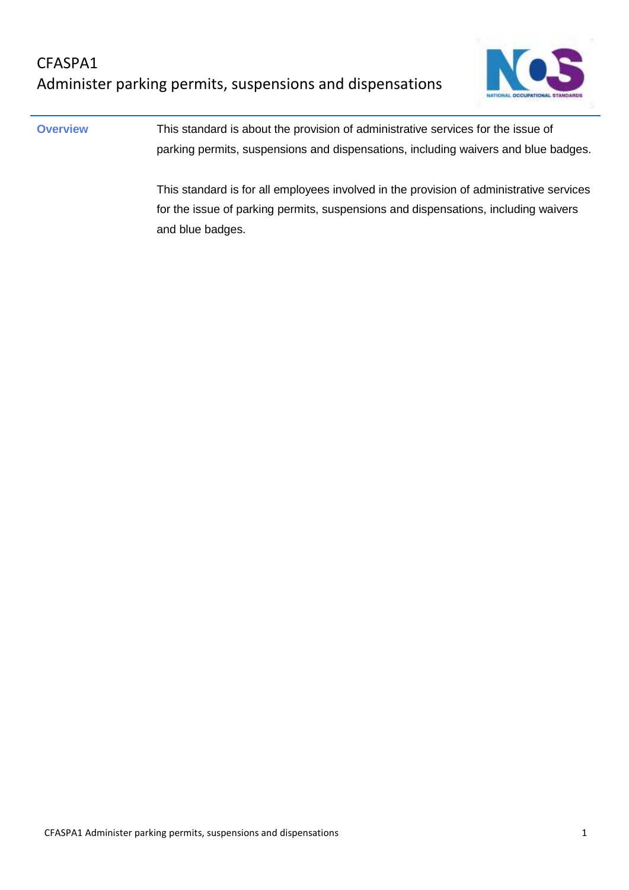

**Overview** This standard is about the provision of administrative services for the issue of parking permits, suspensions and dispensations, including waivers and blue badges.

> This standard is for all employees involved in the provision of administrative services for the issue of parking permits, suspensions and dispensations, including waivers and blue badges.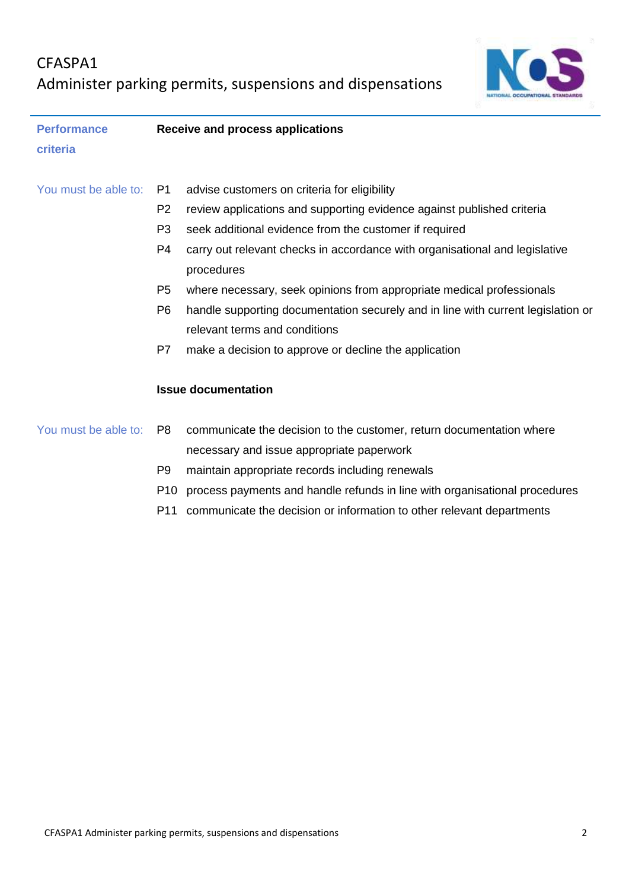

| <b>Performance</b>   | Receive and process applications |                                                                                           |  |
|----------------------|----------------------------------|-------------------------------------------------------------------------------------------|--|
| criteria             |                                  |                                                                                           |  |
| You must be able to: | P1                               | advise customers on criteria for eligibility                                              |  |
|                      | P <sub>2</sub>                   | review applications and supporting evidence against published criteria                    |  |
|                      | P <sub>3</sub>                   | seek additional evidence from the customer if required                                    |  |
|                      | P4                               | carry out relevant checks in accordance with organisational and legislative<br>procedures |  |
|                      | P <sub>5</sub>                   | where necessary, seek opinions from appropriate medical professionals                     |  |
|                      | P <sub>6</sub>                   | handle supporting documentation securely and in line with current legislation or          |  |
|                      |                                  | relevant terms and conditions                                                             |  |
|                      | P7                               | make a decision to approve or decline the application<br><b>Issue documentation</b>       |  |
|                      |                                  |                                                                                           |  |
| You must be able to: | P <sub>8</sub>                   | communicate the decision to the customer, return documentation where                      |  |
|                      |                                  | necessary and issue appropriate paperwork                                                 |  |
|                      | P <sub>9</sub>                   | maintain appropriate records including renewals                                           |  |
|                      | P <sub>10</sub>                  | process payments and handle refunds in line with organisational procedures                |  |
|                      | P11                              | communicate the decision or information to other relevant departments                     |  |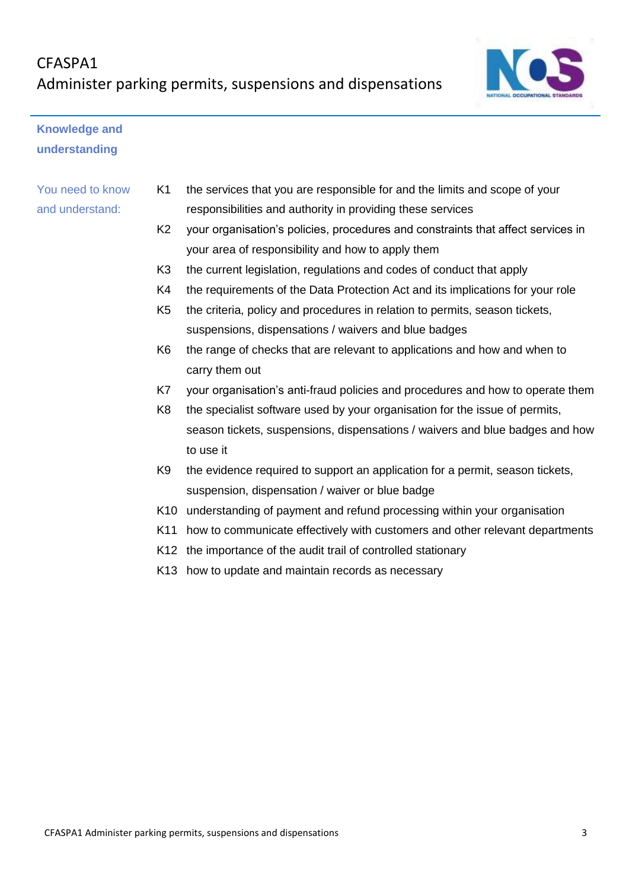

## **Knowledge and understanding**

## You need to know and understand:

- K1 the services that you are responsible for and the limits and scope of your responsibilities and authority in providing these services
- K2 your organisation's policies, procedures and constraints that affect services in your area of responsibility and how to apply them
- K3 the current legislation, regulations and codes of conduct that apply
- K4 the requirements of the Data Protection Act and its implications for your role
- K5 the criteria, policy and procedures in relation to permits, season tickets, suspensions, dispensations / waivers and blue badges
- K6 the range of checks that are relevant to applications and how and when to carry them out
- K7 your organisation's anti-fraud policies and procedures and how to operate them
- K8 the specialist software used by your organisation for the issue of permits, season tickets, suspensions, dispensations / waivers and blue badges and how to use it
- K9 the evidence required to support an application for a permit, season tickets, suspension, dispensation / waiver or blue badge
- K10 understanding of payment and refund processing within your organisation
- K11 how to communicate effectively with customers and other relevant departments
- K12 the importance of the audit trail of controlled stationary
- K13 how to update and maintain records as necessary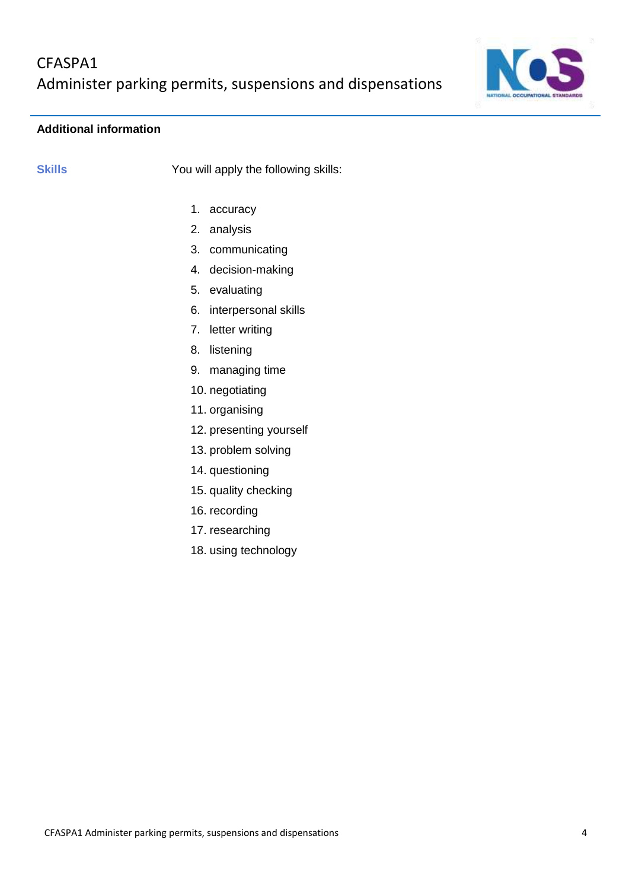

## **Additional information**

**Skills** You will apply the following skills:

- 1. accuracy
- 2. analysis
- 3. communicating
- 4. decision-making
- 5. evaluating
- 6. interpersonal skills
- 7. letter writing
- 8. listening
- 9. managing time
- 10. negotiating
- 11. organising
- 12. presenting yourself
- 13. problem solving
- 14. questioning
- 15. quality checking
- 16. recording
- 17. researching
- 18. using technology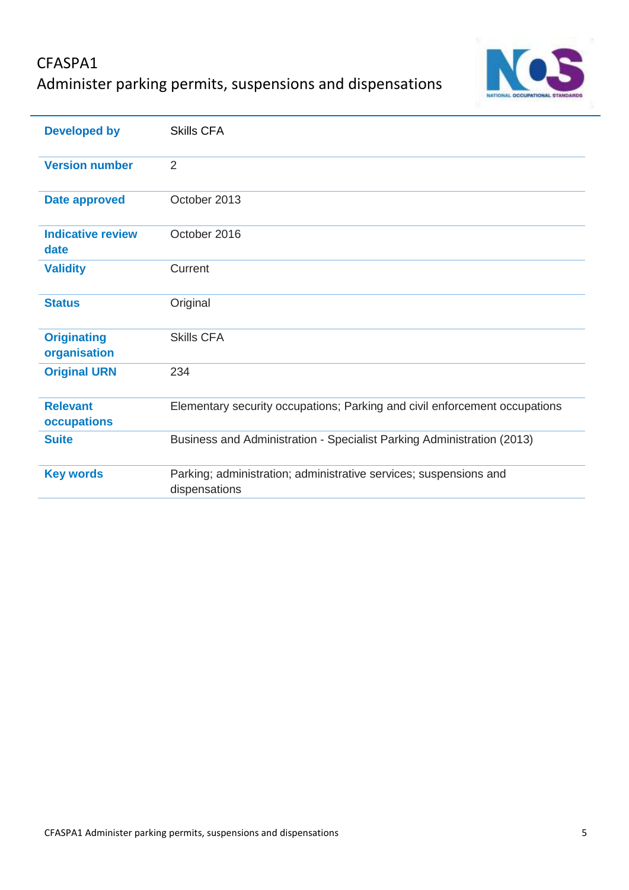

| <b>Developed by</b>                | <b>Skills CFA</b>                                                                  |
|------------------------------------|------------------------------------------------------------------------------------|
| <b>Version number</b>              | $\overline{2}$                                                                     |
| <b>Date approved</b>               | October 2013                                                                       |
| <b>Indicative review</b><br>date   | October 2016                                                                       |
| <b>Validity</b>                    | Current                                                                            |
| <b>Status</b>                      | Original                                                                           |
| <b>Originating</b><br>organisation | <b>Skills CFA</b>                                                                  |
| <b>Original URN</b>                | 234                                                                                |
| <b>Relevant</b><br>occupations     | Elementary security occupations; Parking and civil enforcement occupations         |
| <b>Suite</b>                       | Business and Administration - Specialist Parking Administration (2013)             |
| <b>Key words</b>                   | Parking; administration; administrative services; suspensions and<br>dispensations |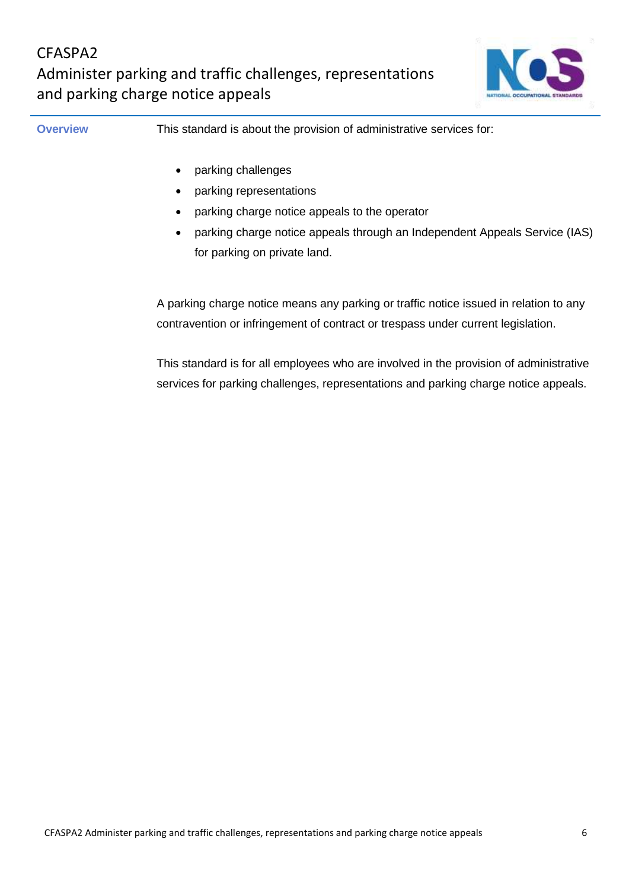

**Overview This standard is about the provision of administrative services for:** 

- parking challenges
- parking representations
- parking charge notice appeals to the operator
- parking charge notice appeals through an Independent Appeals Service (IAS) for parking on private land.

A parking charge notice means any parking or traffic notice issued in relation to any contravention or infringement of contract or trespass under current legislation.

This standard is for all employees who are involved in the provision of administrative services for parking challenges, representations and parking charge notice appeals.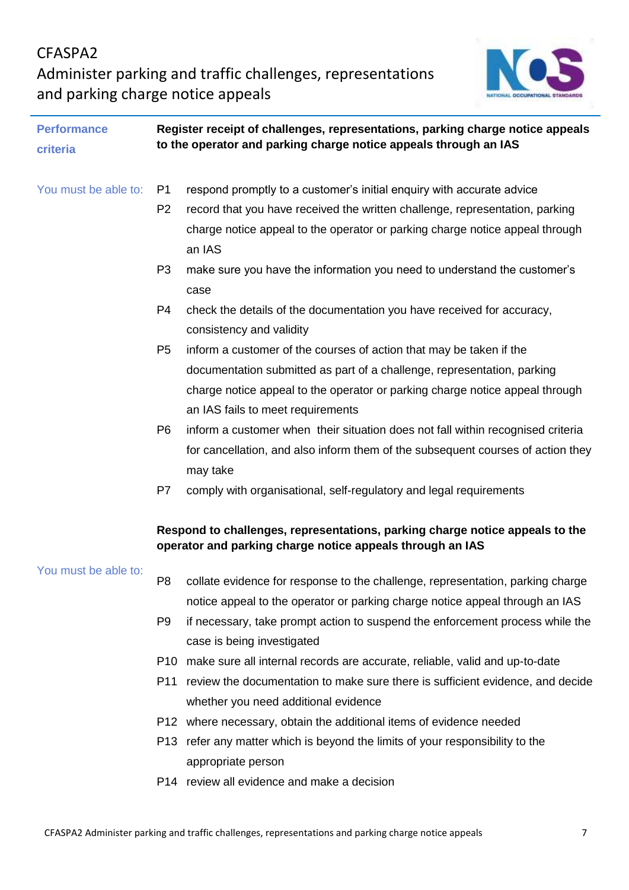

| <b>Performance</b>   | Register receipt of challenges, representations, parking charge notice appeals<br>to the operator and parking charge notice appeals through an IAS |                                                                                 |
|----------------------|----------------------------------------------------------------------------------------------------------------------------------------------------|---------------------------------------------------------------------------------|
| criteria             |                                                                                                                                                    |                                                                                 |
|                      |                                                                                                                                                    |                                                                                 |
| You must be able to: | P1                                                                                                                                                 | respond promptly to a customer's initial enquiry with accurate advice           |
|                      | P <sub>2</sub>                                                                                                                                     | record that you have received the written challenge, representation, parking    |
|                      |                                                                                                                                                    | charge notice appeal to the operator or parking charge notice appeal through    |
|                      |                                                                                                                                                    | an IAS                                                                          |
|                      | P <sub>3</sub>                                                                                                                                     | make sure you have the information you need to understand the customer's        |
|                      |                                                                                                                                                    | case                                                                            |
|                      | P <sub>4</sub>                                                                                                                                     | check the details of the documentation you have received for accuracy,          |
|                      |                                                                                                                                                    | consistency and validity                                                        |
|                      | P <sub>5</sub>                                                                                                                                     | inform a customer of the courses of action that may be taken if the             |
|                      |                                                                                                                                                    | documentation submitted as part of a challenge, representation, parking         |
|                      |                                                                                                                                                    | charge notice appeal to the operator or parking charge notice appeal through    |
|                      |                                                                                                                                                    | an IAS fails to meet requirements                                               |
|                      | P <sub>6</sub>                                                                                                                                     | inform a customer when their situation does not fall within recognised criteria |
|                      |                                                                                                                                                    | for cancellation, and also inform them of the subsequent courses of action they |
|                      |                                                                                                                                                    | may take                                                                        |
|                      | P7                                                                                                                                                 | comply with organisational, self-regulatory and legal requirements              |
|                      |                                                                                                                                                    |                                                                                 |
|                      | Respond to challenges, representations, parking charge notice appeals to the<br>operator and parking charge notice appeals through an IAS          |                                                                                 |
| You must be able to: |                                                                                                                                                    |                                                                                 |
|                      | P <sub>8</sub>                                                                                                                                     | collate evidence for response to the challenge, representation, parking charge  |
|                      |                                                                                                                                                    | notice appeal to the operator or parking charge notice appeal through an IAS    |
|                      | P <sub>9</sub>                                                                                                                                     | if necessary, take prompt action to suspend the enforcement process while the   |
|                      |                                                                                                                                                    | case is being investigated                                                      |
|                      | P10                                                                                                                                                | make sure all internal records are accurate, reliable, valid and up-to-date     |
|                      | P11                                                                                                                                                | review the documentation to make sure there is sufficient evidence, and decide  |
|                      |                                                                                                                                                    | whether you need additional evidence                                            |
|                      |                                                                                                                                                    | P12 where necessary, obtain the additional items of evidence needed             |
|                      |                                                                                                                                                    | P13 refer any matter which is beyond the limits of your responsibility to the   |
|                      |                                                                                                                                                    | appropriate person                                                              |
|                      |                                                                                                                                                    | P14 review all evidence and make a decision                                     |
|                      |                                                                                                                                                    |                                                                                 |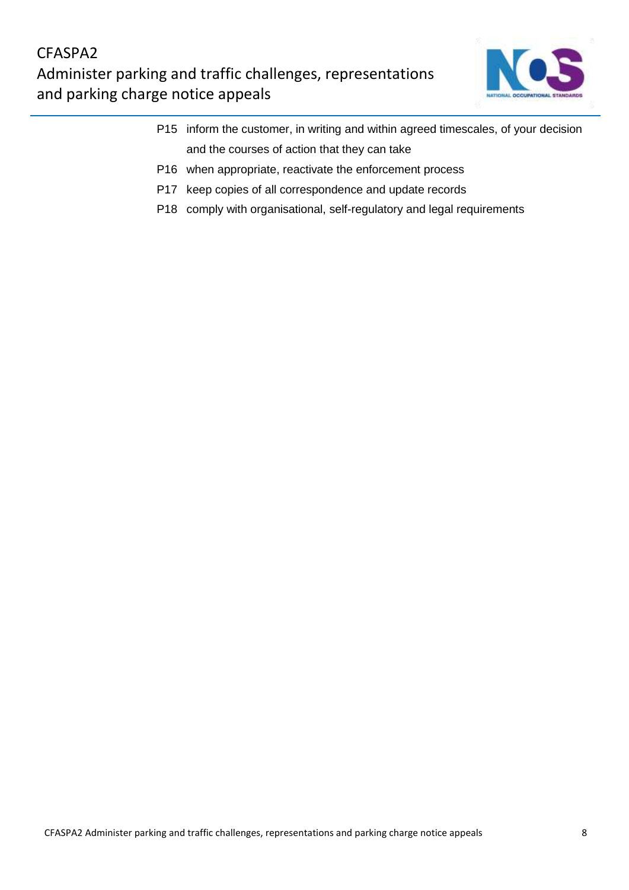

- P15 inform the customer, in writing and within agreed timescales, of your decision and the courses of action that they can take
- P16 when appropriate, reactivate the enforcement process
- P17 keep copies of all correspondence and update records
- P18 comply with organisational, self-regulatory and legal requirements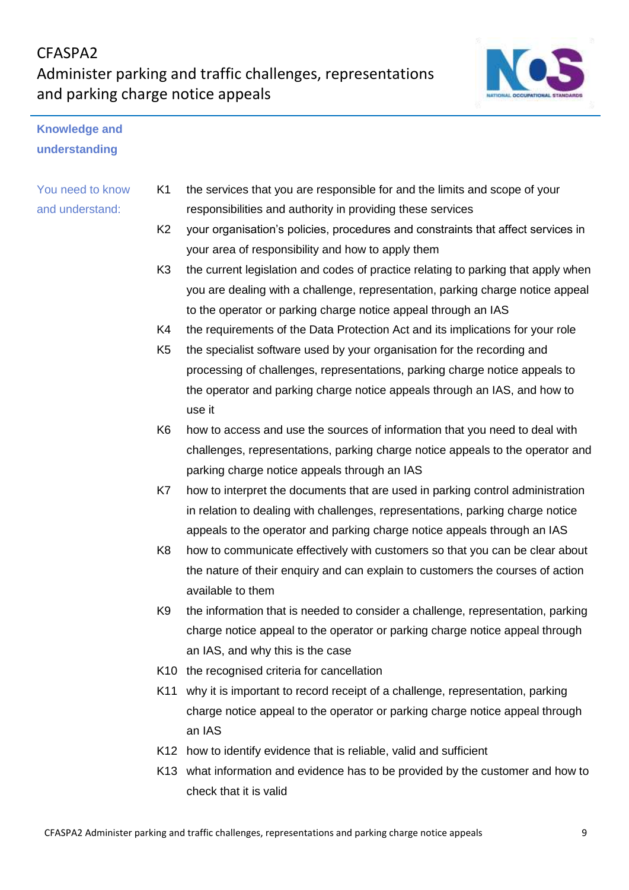

## **Knowledge and understanding**

## You need to know and understand:

- K1 the services that you are responsible for and the limits and scope of your responsibilities and authority in providing these services
- K2 your organisation's policies, procedures and constraints that affect services in your area of responsibility and how to apply them
- K3 the current legislation and codes of practice relating to parking that apply when you are dealing with a challenge, representation, parking charge notice appeal to the operator or parking charge notice appeal through an IAS
- K4 the requirements of the Data Protection Act and its implications for your role
- K5 the specialist software used by your organisation for the recording and processing of challenges, representations, parking charge notice appeals to the operator and parking charge notice appeals through an IAS, and how to use it
- K6 how to access and use the sources of information that you need to deal with challenges, representations, parking charge notice appeals to the operator and parking charge notice appeals through an IAS
- K7 how to interpret the documents that are used in parking control administration in relation to dealing with challenges, representations, parking charge notice appeals to the operator and parking charge notice appeals through an IAS
- K8 how to communicate effectively with customers so that you can be clear about the nature of their enquiry and can explain to customers the courses of action available to them
- K9 the information that is needed to consider a challenge, representation, parking charge notice appeal to the operator or parking charge notice appeal through an IAS, and why this is the case
- K10 the recognised criteria for cancellation
- K11 why it is important to record receipt of a challenge, representation, parking charge notice appeal to the operator or parking charge notice appeal through an IAS
- K12 how to identify evidence that is reliable, valid and sufficient
- K13 what information and evidence has to be provided by the customer and how to check that it is valid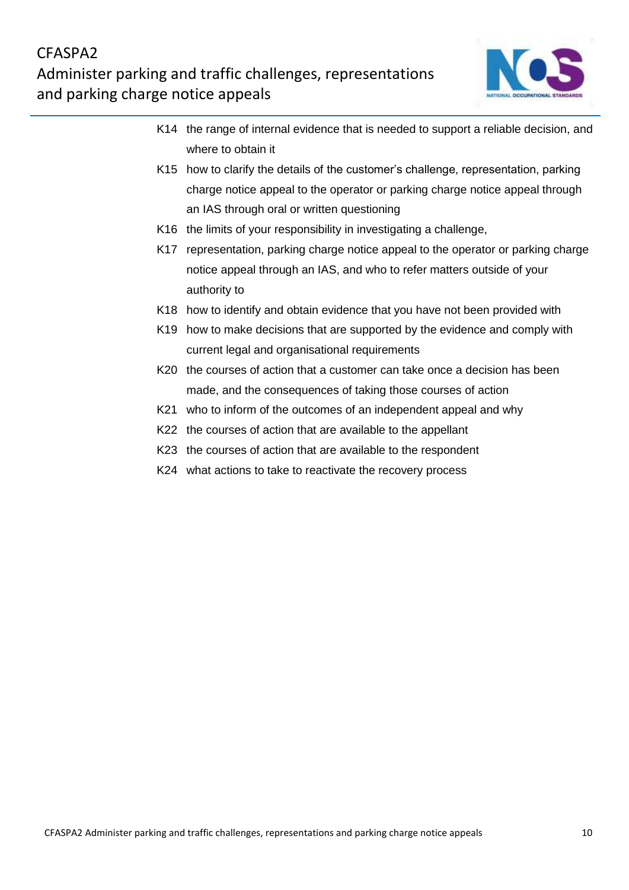

- K14 the range of internal evidence that is needed to support a reliable decision, and where to obtain it
- K15 how to clarify the details of the customer's challenge, representation, parking charge notice appeal to the operator or parking charge notice appeal through an IAS through oral or written questioning
- K16 the limits of your responsibility in investigating a challenge,
- K17 representation, parking charge notice appeal to the operator or parking charge notice appeal through an IAS, and who to refer matters outside of your authority to
- K18 how to identify and obtain evidence that you have not been provided with
- K19 how to make decisions that are supported by the evidence and comply with current legal and organisational requirements
- K20 the courses of action that a customer can take once a decision has been made, and the consequences of taking those courses of action
- K21 who to inform of the outcomes of an independent appeal and why
- K22 the courses of action that are available to the appellant
- K23 the courses of action that are available to the respondent
- K24 what actions to take to reactivate the recovery process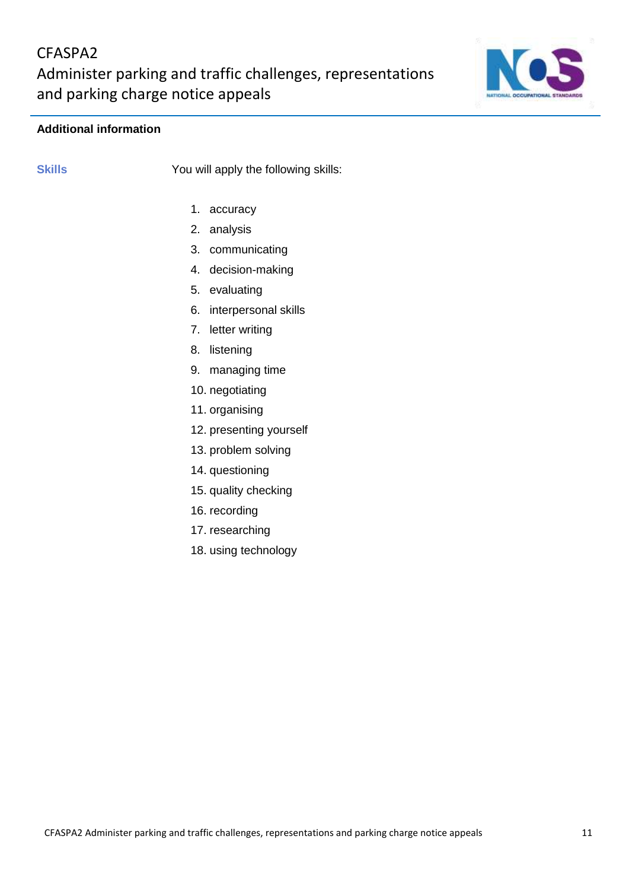

## **Additional information**

**Skills** You will apply the following skills:

- 1. accuracy
- 2. analysis
- 3. communicating
- 4. decision-making
- 5. evaluating
- 6. interpersonal skills
- 7. letter writing
- 8. listening
- 9. managing time
- 10. negotiating
- 11. organising
- 12. presenting yourself
- 13. problem solving
- 14. questioning
- 15. quality checking
- 16. recording
- 17. researching
- 18. using technology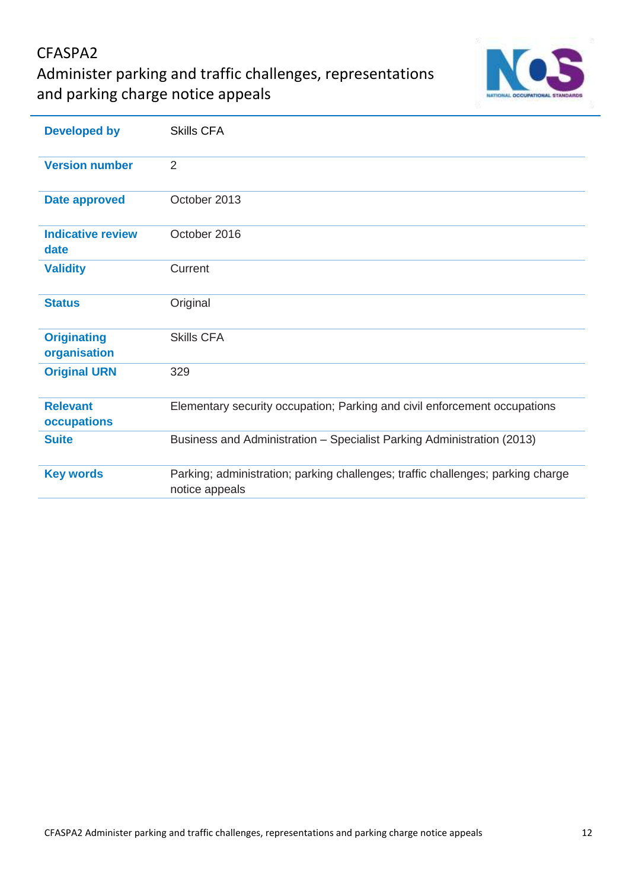## CFASPA2

Administer parking and traffic challenges, representations and parking charge notice appeals



| <b>Developed by</b>                | <b>Skills CFA</b>                                                                                 |
|------------------------------------|---------------------------------------------------------------------------------------------------|
| <b>Version number</b>              | 2                                                                                                 |
| <b>Date approved</b>               | October 2013                                                                                      |
| <b>Indicative review</b><br>date   | October 2016                                                                                      |
| <b>Validity</b>                    | Current                                                                                           |
| <b>Status</b>                      | Original                                                                                          |
| <b>Originating</b><br>organisation | <b>Skills CFA</b>                                                                                 |
| <b>Original URN</b>                | 329                                                                                               |
| <b>Relevant</b><br>occupations     | Elementary security occupation; Parking and civil enforcement occupations                         |
| <b>Suite</b>                       | Business and Administration - Specialist Parking Administration (2013)                            |
| <b>Key words</b>                   | Parking; administration; parking challenges; traffic challenges; parking charge<br>notice appeals |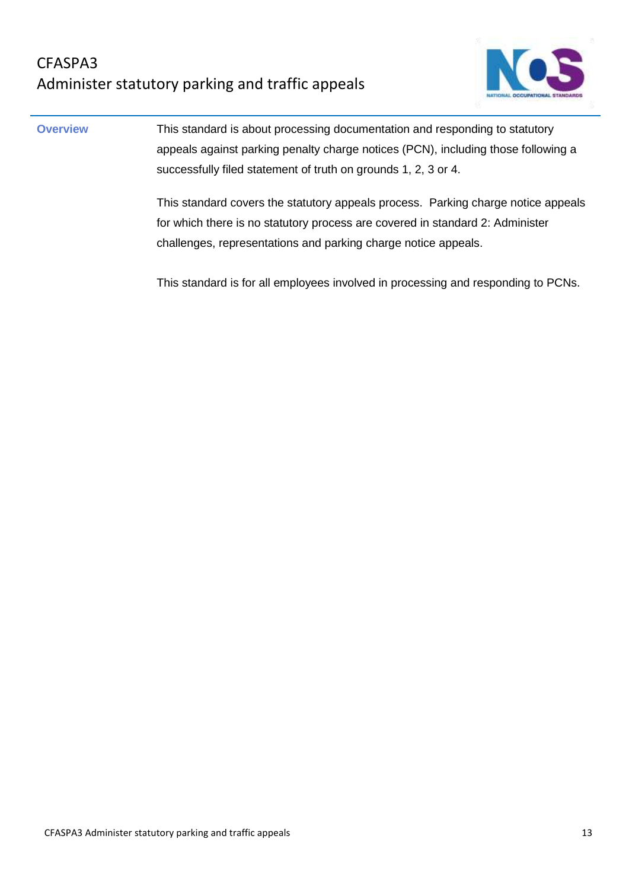

**Overview This standard is about processing documentation and responding to statutory** appeals against parking penalty charge notices (PCN), including those following a successfully filed statement of truth on grounds 1, 2, 3 or 4.

> This standard covers the statutory appeals process. Parking charge notice appeals for which there is no statutory process are covered in standard 2: Administer challenges, representations and parking charge notice appeals.

This standard is for all employees involved in processing and responding to PCNs.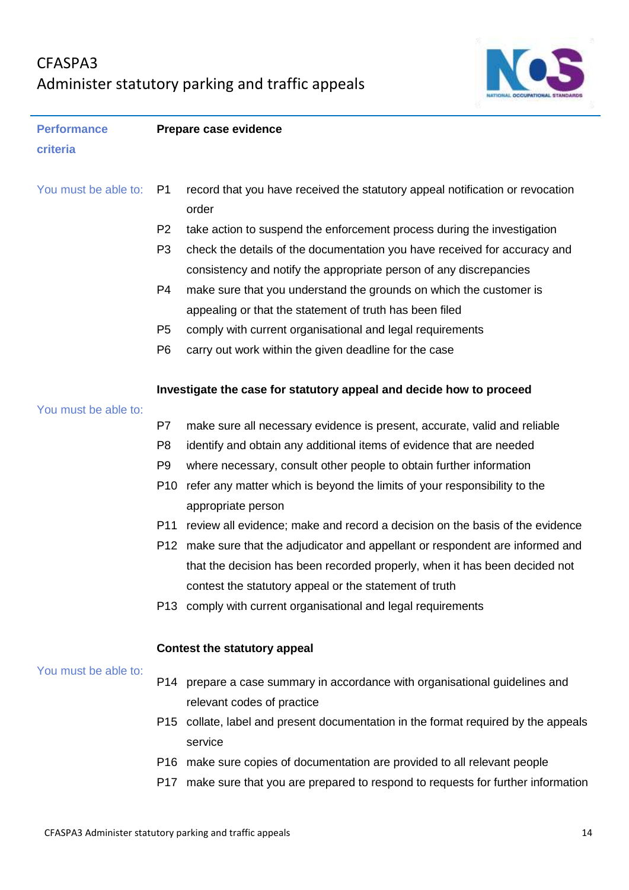# CFASPA3 Administer statutory parking and traffic appeals



| <b>Performance</b>   | Prepare case evidence |                                                                                        |  |
|----------------------|-----------------------|----------------------------------------------------------------------------------------|--|
| criteria             |                       |                                                                                        |  |
|                      |                       |                                                                                        |  |
| You must be able to: | P <sub>1</sub>        | record that you have received the statutory appeal notification or revocation<br>order |  |
|                      | P <sub>2</sub>        | take action to suspend the enforcement process during the investigation                |  |
|                      | P <sub>3</sub>        | check the details of the documentation you have received for accuracy and              |  |
|                      |                       | consistency and notify the appropriate person of any discrepancies                     |  |
|                      | P <sub>4</sub>        | make sure that you understand the grounds on which the customer is                     |  |
|                      |                       | appealing or that the statement of truth has been filed                                |  |
|                      | P <sub>5</sub>        | comply with current organisational and legal requirements                              |  |
|                      | P <sub>6</sub>        | carry out work within the given deadline for the case                                  |  |
|                      |                       | Investigate the case for statutory appeal and decide how to proceed                    |  |
| You must be able to: |                       |                                                                                        |  |
|                      | P7                    | make sure all necessary evidence is present, accurate, valid and reliable              |  |
|                      | P <sub>8</sub>        | identify and obtain any additional items of evidence that are needed                   |  |
|                      | P <sub>9</sub>        | where necessary, consult other people to obtain further information                    |  |
|                      | P <sub>10</sub>       | refer any matter which is beyond the limits of your responsibility to the              |  |
|                      |                       | appropriate person                                                                     |  |
|                      | P <sub>11</sub>       | review all evidence; make and record a decision on the basis of the evidence           |  |
|                      |                       | P12 make sure that the adjudicator and appellant or respondent are informed and        |  |
|                      |                       | that the decision has been recorded properly, when it has been decided not             |  |
|                      |                       | contest the statutory appeal or the statement of truth                                 |  |
|                      |                       | P13 comply with current organisational and legal requirements                          |  |
|                      |                       | <b>Contest the statutory appeal</b>                                                    |  |
| You must be able to: |                       | P14 prepare a case summary in accordance with organisational guidelines and            |  |
|                      |                       | relevant codes of practice                                                             |  |
|                      |                       | P15 collate, label and present documentation in the format required by the appeals     |  |
|                      |                       | service                                                                                |  |
|                      |                       | P16 make sure copies of documentation are provided to all relevant people              |  |
|                      |                       | P17 make sure that you are prepared to respond to requests for further information     |  |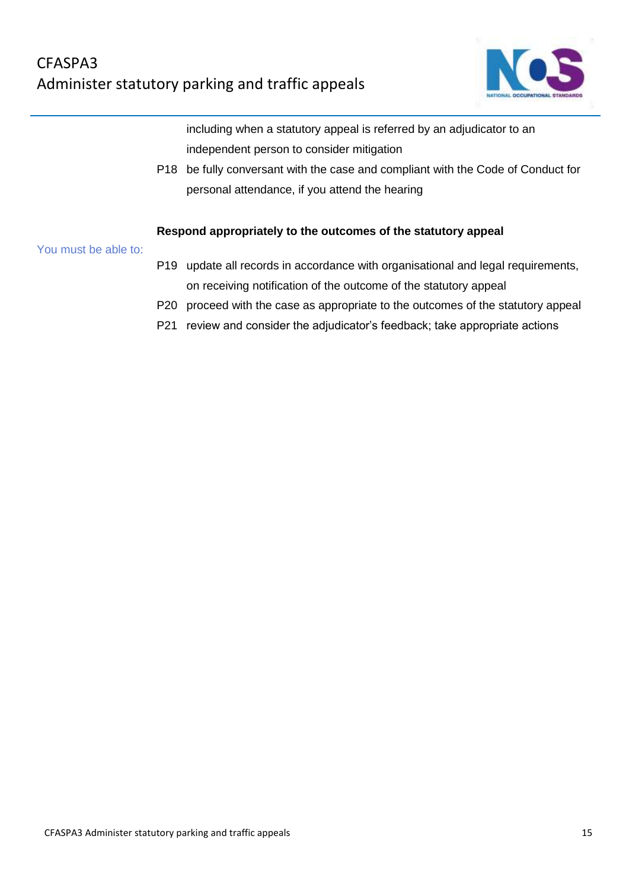

including when a statutory appeal is referred by an adjudicator to an independent person to consider mitigation

P18 be fully conversant with the case and compliant with the Code of Conduct for personal attendance, if you attend the hearing

### **Respond appropriately to the outcomes of the statutory appeal**

You must be able to:

- P19 update all records in accordance with organisational and legal requirements, on receiving notification of the outcome of the statutory appeal
- P20 proceed with the case as appropriate to the outcomes of the statutory appeal
- P21 review and consider the adjudicator's feedback; take appropriate actions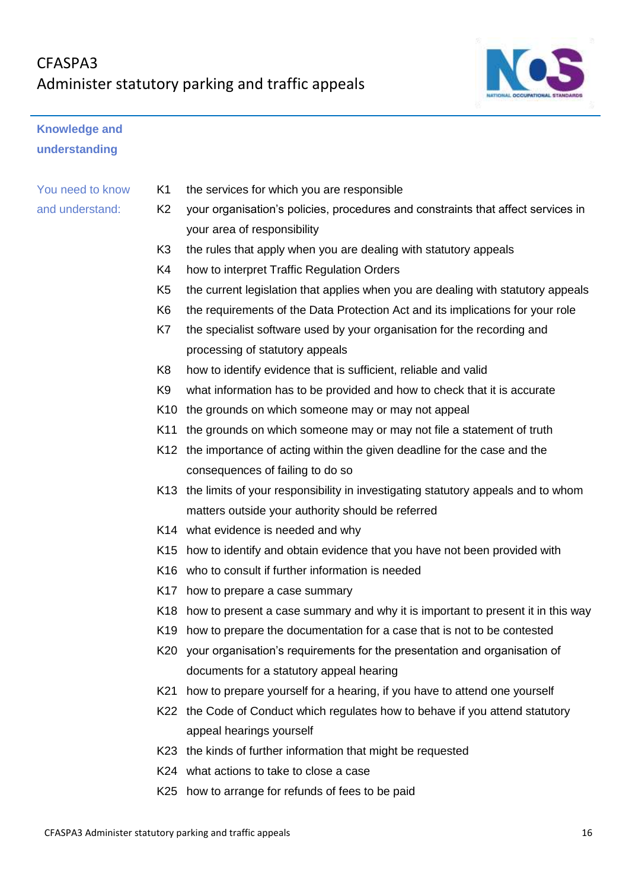

## **Knowledge and understanding**

## You need to know and understand:

- K1 the services for which you are responsible
- K2 your organisation's policies, procedures and constraints that affect services in your area of responsibility
- K3 the rules that apply when you are dealing with statutory appeals
- K4 how to interpret Traffic Regulation Orders
- K5 the current legislation that applies when you are dealing with statutory appeals
- K6 the requirements of the Data Protection Act and its implications for your role
- K7 the specialist software used by your organisation for the recording and processing of statutory appeals
- K8 how to identify evidence that is sufficient, reliable and valid
- K9 what information has to be provided and how to check that it is accurate
- K10 the grounds on which someone may or may not appeal
- K11 the grounds on which someone may or may not file a statement of truth
- K12 the importance of acting within the given deadline for the case and the consequences of failing to do so
- K13 the limits of your responsibility in investigating statutory appeals and to whom matters outside your authority should be referred
- K14 what evidence is needed and why
- K15 how to identify and obtain evidence that you have not been provided with
- K16 who to consult if further information is needed
- K17 how to prepare a case summary
- K18 how to present a case summary and why it is important to present it in this way
- K19 how to prepare the documentation for a case that is not to be contested
- K20 your organisation's requirements for the presentation and organisation of documents for a statutory appeal hearing
- K21 how to prepare yourself for a hearing, if you have to attend one yourself
- K22 the Code of Conduct which regulates how to behave if you attend statutory appeal hearings yourself
- K23 the kinds of further information that might be requested
- K24 what actions to take to close a case
- K25 how to arrange for refunds of fees to be paid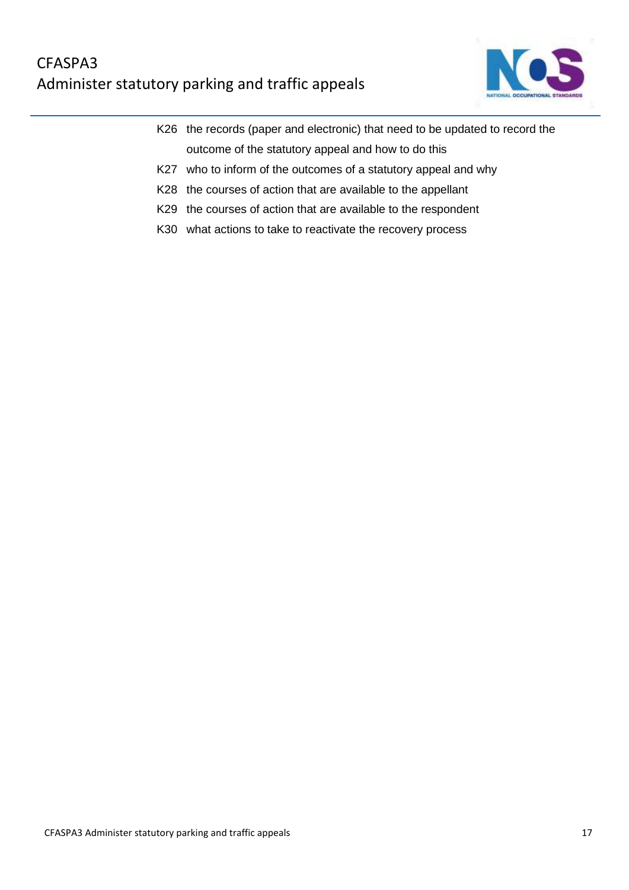## CFASPA3 Administer statutory parking and traffic appeals



- K26 the records (paper and electronic) that need to be updated to record the outcome of the statutory appeal and how to do this
- K27 who to inform of the outcomes of a statutory appeal and why
- K28 the courses of action that are available to the appellant
- K29 the courses of action that are available to the respondent
- K30 what actions to take to reactivate the recovery process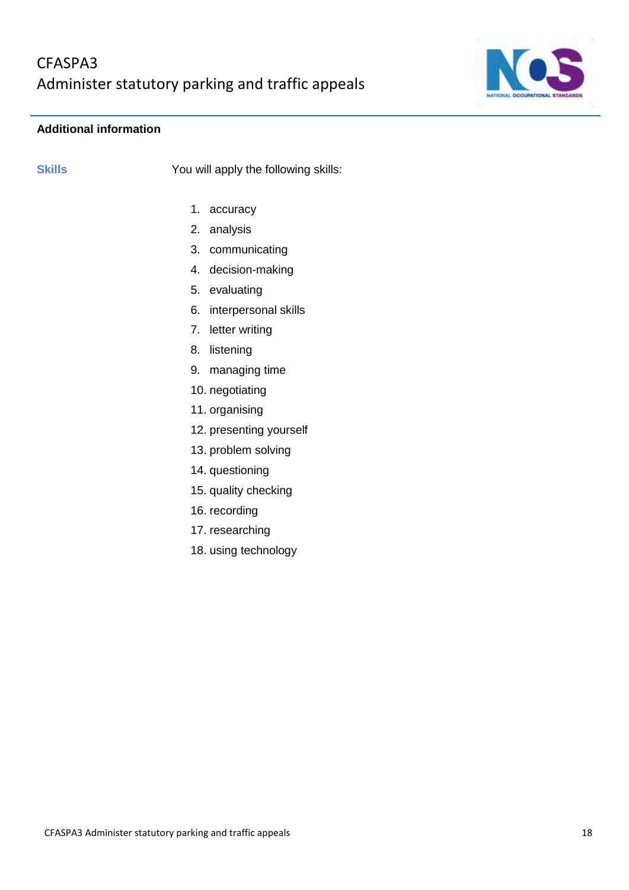

## **Additional information**

**Skills** You will apply the following skills:

- 1. accuracy
- 2. analysis
- 3. communicating
- 4. decision-making
- 5. evaluating
- 6. interpersonal skills
- 7. letter writing
- 8. listening
- 9. managing time
- 10. negotiating
- 11. organising
- 12. presenting yourself
- 13. problem solving
- 14. questioning
- 15. quality checking
- 16. recording
- 17. researching
- 18. using technology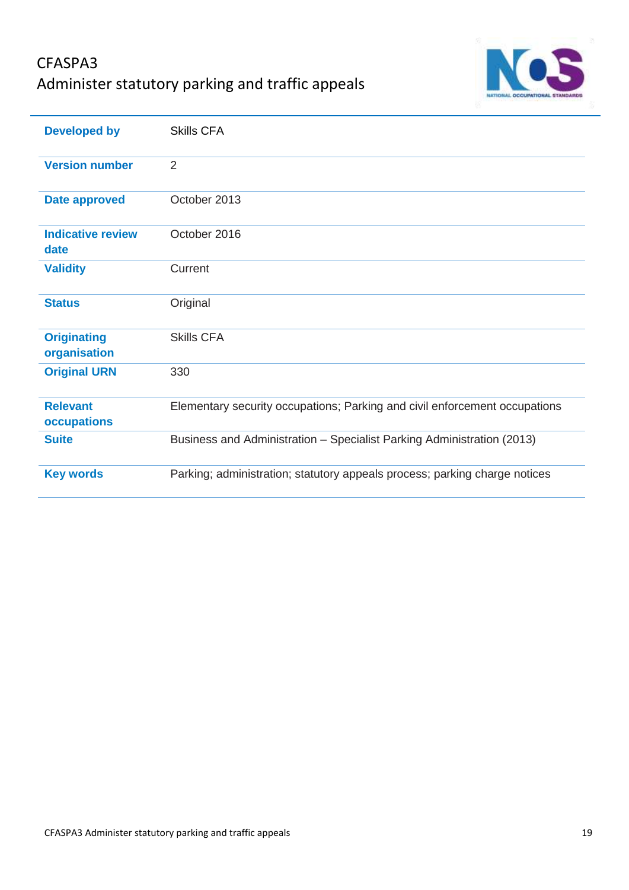# CFASPA3 Administer statutory parking and traffic appeals



| <b>Developed by</b>                | <b>Skills CFA</b>                                                          |
|------------------------------------|----------------------------------------------------------------------------|
| <b>Version number</b>              | 2                                                                          |
| <b>Date approved</b>               | October 2013                                                               |
| <b>Indicative review</b><br>date   | October 2016                                                               |
| <b>Validity</b>                    | Current                                                                    |
| <b>Status</b>                      | Original                                                                   |
| <b>Originating</b><br>organisation | <b>Skills CFA</b>                                                          |
| <b>Original URN</b>                | 330                                                                        |
| <b>Relevant</b><br>occupations     | Elementary security occupations; Parking and civil enforcement occupations |
| <b>Suite</b>                       | Business and Administration - Specialist Parking Administration (2013)     |
| <b>Key words</b>                   | Parking; administration; statutory appeals process; parking charge notices |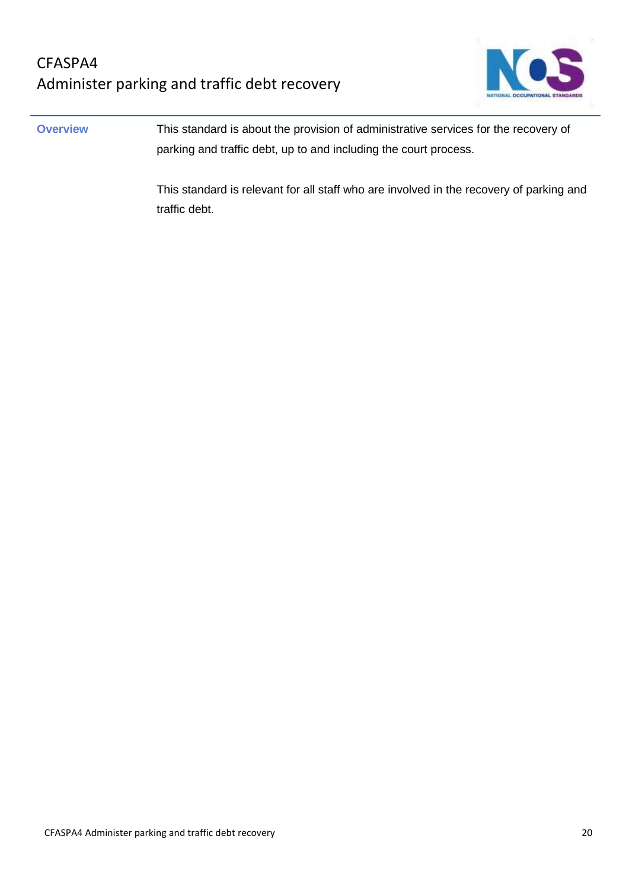

**Overview** This standard is about the provision of administrative services for the recovery of parking and traffic debt, up to and including the court process.

> This standard is relevant for all staff who are involved in the recovery of parking and traffic debt.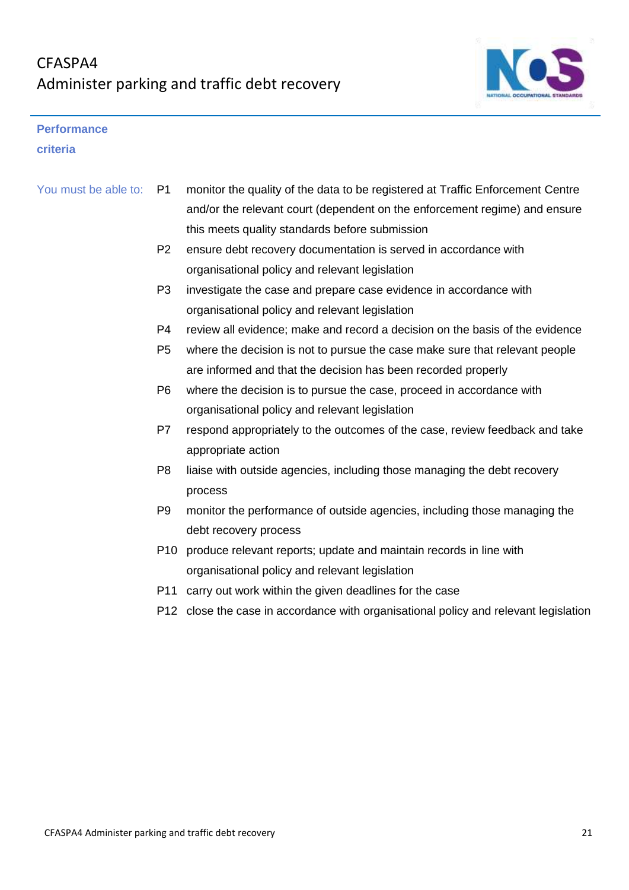

### **Performance**

**criteria**

| You must be able to: | P <sub>1</sub>  | monitor the quality of the data to be registered at Traffic Enforcement Centre       |
|----------------------|-----------------|--------------------------------------------------------------------------------------|
|                      |                 | and/or the relevant court (dependent on the enforcement regime) and ensure           |
|                      |                 | this meets quality standards before submission                                       |
|                      | P <sub>2</sub>  | ensure debt recovery documentation is served in accordance with                      |
|                      |                 | organisational policy and relevant legislation                                       |
|                      | P <sub>3</sub>  | investigate the case and prepare case evidence in accordance with                    |
|                      |                 | organisational policy and relevant legislation                                       |
|                      | P4              | review all evidence; make and record a decision on the basis of the evidence         |
|                      | P <sub>5</sub>  | where the decision is not to pursue the case make sure that relevant people          |
|                      |                 | are informed and that the decision has been recorded properly                        |
|                      | P <sub>6</sub>  | where the decision is to pursue the case, proceed in accordance with                 |
|                      |                 | organisational policy and relevant legislation                                       |
|                      | P7              | respond appropriately to the outcomes of the case, review feedback and take          |
|                      |                 | appropriate action                                                                   |
|                      | P <sub>8</sub>  | liaise with outside agencies, including those managing the debt recovery             |
|                      |                 | process                                                                              |
|                      | P <sub>9</sub>  | monitor the performance of outside agencies, including those managing the            |
|                      |                 | debt recovery process                                                                |
|                      | P <sub>10</sub> | produce relevant reports; update and maintain records in line with                   |
|                      |                 | organisational policy and relevant legislation                                       |
|                      | P <sub>11</sub> | carry out work within the given deadlines for the case                               |
|                      |                 | P12 close the case in accordance with organisational policy and relevant legislation |
|                      |                 |                                                                                      |
|                      |                 |                                                                                      |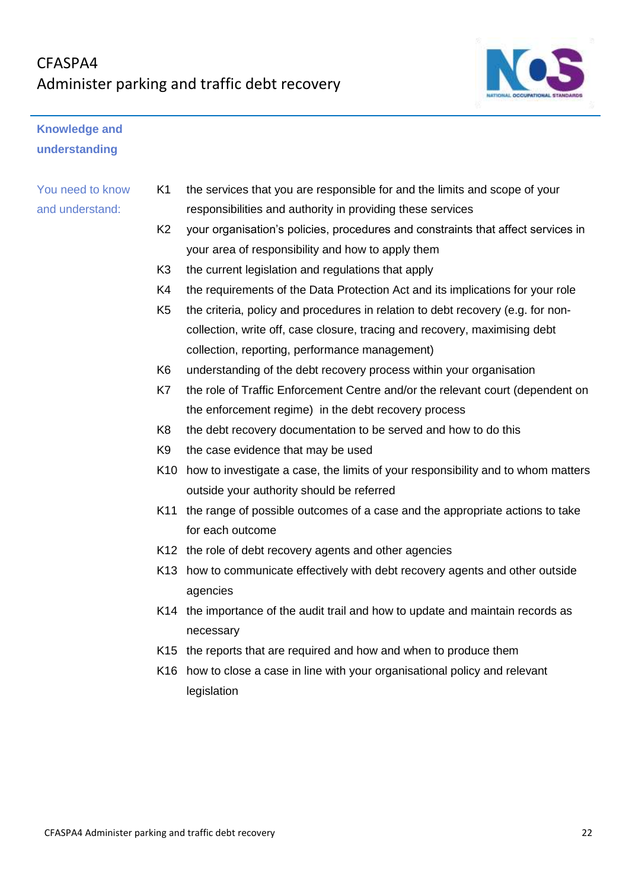

## **Knowledge and understanding**

## You need to know and understand:

- K1 the services that you are responsible for and the limits and scope of your responsibilities and authority in providing these services
- K2 your organisation's policies, procedures and constraints that affect services in your area of responsibility and how to apply them
- K3 the current legislation and regulations that apply
- K4 the requirements of the Data Protection Act and its implications for your role
- K5 the criteria, policy and procedures in relation to debt recovery (e.g. for noncollection, write off, case closure, tracing and recovery, maximising debt collection, reporting, performance management)
- K6 understanding of the debt recovery process within your organisation
- K7 the role of Traffic Enforcement Centre and/or the relevant court (dependent on the enforcement regime) in the debt recovery process
- K8 the debt recovery documentation to be served and how to do this
- K9 the case evidence that may be used
- K10 how to investigate a case, the limits of your responsibility and to whom matters outside your authority should be referred
- K11 the range of possible outcomes of a case and the appropriate actions to take for each outcome
- K12 the role of debt recovery agents and other agencies
- K13 how to communicate effectively with debt recovery agents and other outside agencies
- K14 the importance of the audit trail and how to update and maintain records as necessary
- K15 the reports that are required and how and when to produce them
- K16 how to close a case in line with your organisational policy and relevant legislation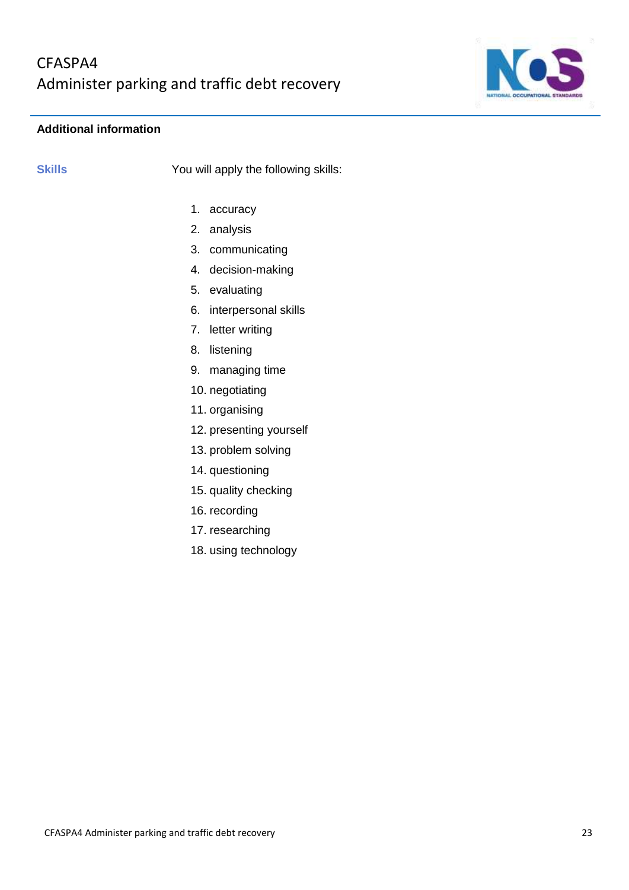

## **Additional information**

**Skills** You will apply the following skills:

- 1. accuracy
- 2. analysis
- 3. communicating
- 4. decision-making
- 5. evaluating
- 6. interpersonal skills
- 7. letter writing
- 8. listening
- 9. managing time
- 10. negotiating
- 11. organising
- 12. presenting yourself
- 13. problem solving
- 14. questioning
- 15. quality checking
- 16. recording
- 17. researching
- 18. using technology